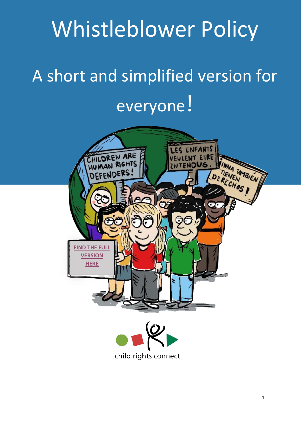# Whistleblower Policy

# A short and simplified version for everyone!



child rights connect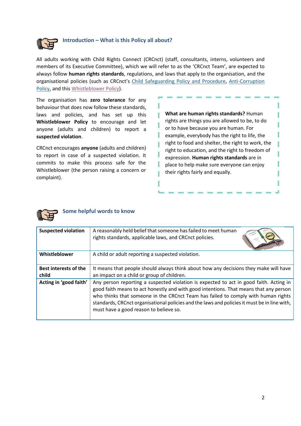

#### **Introduction – What is this Policy all about?**

All adults working with Child Rights Connect (CRCnct) (staff, consultants, interns, volunteers and members of its Executive Committee), which we will refer to as the 'CRCnct Team', are expected to always follow **human rights standards**, regulations, and laws that apply to the organisation, and the organisational policies (such as CRCnct's [Child Safeguarding Policy and Procedure,](https://www.childrightsconnect.org/wp-content/uploads/2021/08/crcnct-child-safeguarding-policy-procedure.pdf) [Anti-Corruption](https://www.childrightsconnect.org/wp-content/uploads/2021/08/crcnct-anti-corruption-policy.pdf)  [Policy,](https://www.childrightsconnect.org/wp-content/uploads/2021/08/crcnct-anti-corruption-policy.pdf) and thi[s Whistleblower Policy\)](https://www.childrightsconnect.org/wp-content/uploads/2021/08/crcnct-whistleblower-policy.pdf).

The organisation has **zero tolerance** for any behaviour that does now follow these standards, laws and policies, and has set up this **Whistleblower Policy** to encourage and let anyone (adults and children) to report a **suspected violation**.

CRCnct encourages **anyone** (adults and children) to report in case of a suspected violation. It commits to make this process safe for the Whistleblower (the person raising a concern or complaint).

**What are human rights standards?** Human rights are things you are allowed to be, to do or to have because you are human. For example, everybody has the right to life, the right to food and shelter, the right to work, the right to education, and the right to freedom of expression. **Human rights standards** are in place to help make sure everyone can enjoy their rights fairly and equally.

ľ



#### **Some helpful words to know**

| <b>Suspected violation</b>            | A reasonably held belief that someone has failed to meet human<br>rights standards, applicable laws, and CRCnct policies.                                                                                                                                                                                                                                                                                      |
|---------------------------------------|----------------------------------------------------------------------------------------------------------------------------------------------------------------------------------------------------------------------------------------------------------------------------------------------------------------------------------------------------------------------------------------------------------------|
| Whistleblower                         | A child or adult reporting a suspected violation.                                                                                                                                                                                                                                                                                                                                                              |
| <b>Best interests of the</b><br>child | It means that people should always think about how any decisions they make will have<br>an impact on a child or group of children.                                                                                                                                                                                                                                                                             |
| Acting in 'good faith'                | Any person reporting a suspected violation is expected to act in good faith. Acting in<br>good faith means to act honestly and with good intentions. That means that any person<br>who thinks that someone in the CRCnct Team has failed to comply with human rights<br>standards, CRCnct organisational policies and the laws and policies it must be in line with,<br>must have a good reason to believe so. |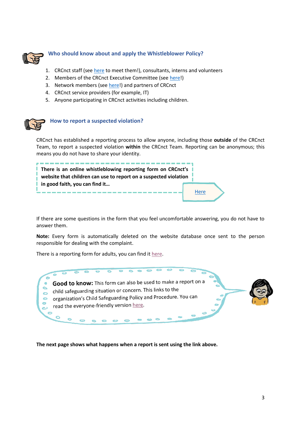

## **Who should know about and apply the Whistleblower Policy?**

- 1. CRCnct staff (see [here](https://www.childrightsconnect.org/organisation/) to meet them!), consultants, interns and volunteers
- 2. Members of the CRCnct Executive Committee (se[e here!](https://www.childrightsconnect.org/organisation/#executive-committee))
- 3. Network members (see [here!](https://www.childrightsconnect.org/member-network/)) and partners of CRCnct
- 4. CRCnct service providers (for example, IT)
- 5. Anyone participating in CRCnct activities including children.



### **How to report a suspected violation?**

CRCnct has established a reporting process to allow anyone, including those **outside** of the CRCnct Team, to report a suspected violation **within** the CRCnct Team. Reporting can be anonymous; this means you do not have to share your identity.



If there are some questions in the form that you feel uncomfortable answering, you do not have to answer them.

**Note:** Every form is automatically deleted on the website database once sent to the person responsible for dealing with the complaint.

There is a reporting form for adults, you can find it [here.](https://www.childrightsconnect.org/whistleblowing-form/)



**The next page shows what happens when a report is sent using the link above.**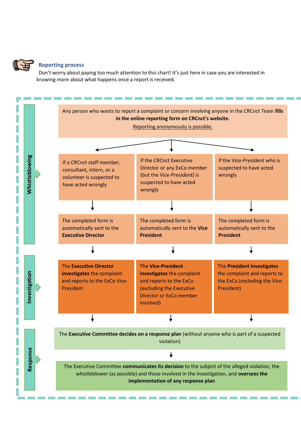

#### **Reporting process**

Don't worry about paying too much attention to this chart! It's just here in case you are interested in knowing more about what happens once a report is received.